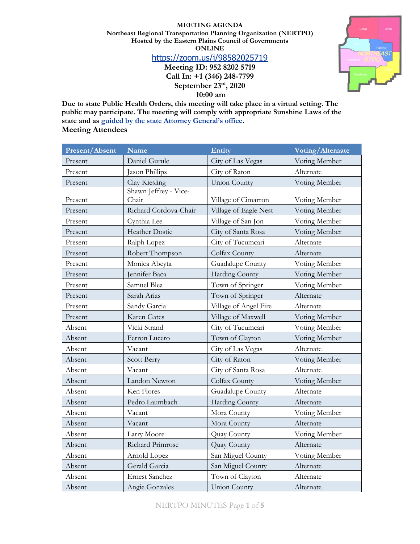#### **MEETING AGENDA**

**Northeast Regional Transportation Planning Organization (NERTPO) Hosted by the Eastern Plains Council of Governments ONLINE** <https://zoom.us/j/98582025719> **Meeting ID: 952 8202 5719**



**September 23rd, 2020**

**10:00 am**

**Due to state Public Health Orders, this meeting will take place in a virtual setting. The public may participate. The meeting will comply with appropriate Sunshine Laws of the state and as [guided by the state Attorney General's office](https://www.nmag.gov/uploads/files/COVID-19/OpenGovernmentDivisionAdviceCOVID-19.pdf). Meeting Attendees**

| <b>Present/Absent</b> | <b>Name</b>                    | Entity                | Voting/Alternate |
|-----------------------|--------------------------------|-----------------------|------------------|
| Present               | Daniel Gurule                  | City of Las Vegas     | Voting Member    |
| Present               | Jason Phillips                 | City of Raton         | Alternate        |
| Present               | Clay Kiesling                  | <b>Union County</b>   | Voting Member    |
| Present               | Shawn Jeffrey - Vice-<br>Chair | Village of Cimarron   | Voting Member    |
| Present               | Richard Cordova-Chair          | Village of Eagle Nest | Voting Member    |
| Present               | Cynthia Lee                    | Village of San Jon    | Voting Member    |
| Present               | <b>Heather Dostie</b>          | City of Santa Rosa    | Voting Member    |
| Present               | Ralph Lopez                    | City of Tucumcari     | Alternate        |
| Present               | Robert Thompson                | Colfax County         | Alternate        |
| Present               | Monica Abeyta                  | Guadalupe County      | Voting Member    |
| Present               | Jennifer Baca                  | Harding County        | Voting Member    |
| Present               | Samuel Blea                    | Town of Springer      | Voting Member    |
| Present               | Sarah Arias                    | Town of Springer      | Alternate        |
| Present               | Sandy Garcia                   | Village of Angel Fire | Alternate        |
| Present               | Karen Gates                    | Village of Maxwell    | Voting Member    |
| Absent                | Vicki Strand                   | City of Tucumcari     | Voting Member    |
| Absent                | Ferron Lucero                  | Town of Clayton       | Voting Member    |
| Absent                | Vacant                         | City of Las Vegas     | Alternate        |
| Absent                | <b>Scott Berry</b>             | City of Raton         | Voting Member    |
| Absent                | Vacant                         | City of Santa Rosa    | Alternate        |
| Absent                | Landon Newton                  | Colfax County         | Voting Member    |
| Absent                | Ken Flores                     | Guadalupe County      | Alternate        |
| Absent                | Pedro Laumbach                 | Harding County        | Alternate        |
| Absent                | Vacant                         | Mora County           | Voting Member    |
| Absent                | Vacant                         | Mora County           | Alternate        |
| Absent                | Larry Moore                    | Quay County           | Voting Member    |
| Absent                | Richard Primrose               | Quay County           | Alternate        |
| Absent                | Arnold Lopez                   | San Miguel County     | Voting Member    |
| Absent                | Gerald Garcia                  | San Miguel County     | Alternate        |
| Absent                | <b>Ernest Sanchez</b>          | Town of Clayton       | Alternate        |
| Absent                | Angie Gonzales                 | <b>Union County</b>   | Alternate        |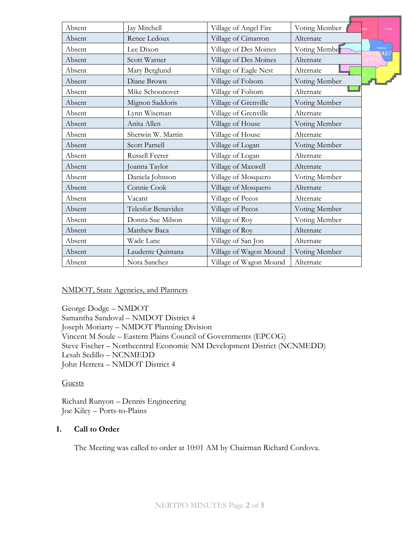| Absent | Jay Mitchell              | Village of Angel Fire  | Voting Member | Union            |
|--------|---------------------------|------------------------|---------------|------------------|
| Absent | Renee Ledoux              | Village of Cimarron    | Alternate     |                  |
| Absent | Lee Dixon                 | Village of Des Moines  | Voting Member | Harding<br>14S 1 |
| Absent | Scott Warner              | Village of Des Moines  | Alternate     |                  |
| Absent | Mary Berglund             | Village of Eagle Nest  | Alternate     |                  |
| Absent | Diane Brown               | Village of Folsom      | Voting Member |                  |
| Absent | Mike Schoonover           | Village of Folsom      | Alternate     |                  |
| Absent | Mignon Saddoris           | Village of Grenville   | Voting Member |                  |
| Absent | Lynn Wiseman              | Village of Grenville   | Alternate     |                  |
| Absent | Anita Allen               | Village of House       | Voting Member |                  |
| Absent | Sherwin W. Martin         | Village of House       | Alternate     |                  |
| Absent | <b>Scott Parnell</b>      | Village of Logan       | Voting Member |                  |
| Absent | Russell Feerer            | Village of Logan       | Alternate     |                  |
| Absent | Joanna Taylor             | Village of Maxwell     | Alternate     |                  |
| Absent | Daniela Johnson           | Village of Mosquero    | Voting Member |                  |
| Absent | Connie Cook               | Village of Mosquero    | Alternate     |                  |
| Absent | Vacant                    | Village of Pecos       | Alternate     |                  |
| Absent | <b>Telesfor Benavidez</b> | Village of Pecos       | Voting Member |                  |
| Absent | Donna Sue Milson          | Village of Roy         | Voting Member |                  |
| Absent | Matthew Baca              | Village of Roy         | Alternate     |                  |
| Absent | Wade Lane                 | Village of San Jon     | Alternate     |                  |
| Absent | Laudente Quintana         | Village of Wagon Mound | Voting Member |                  |
| Absent | Nora Sanchez              | Village of Wagon Mound | Alternate     |                  |

### NMDOT, State Agencies, and Planners

George Dodge – NMDOT Samantha Sandoval – NMDOT District 4 Joseph Moriarty – NMDOT Planning Division Vincent M Soule – Eastern Plains Council of Governments (EPCOG) Steve Fischer – Northcentral Economic NM Development District (NCNMEDD) Lesah Sedillo – NCNMEDD John Herrera – NMDOT District 4

#### Guests

Richard Runyon – Dennis Engineering Joe Kiley – Ports-to-Plains

### **I. Call to Order**

The Meeting was called to order at 10:01 AM by Chairman Richard Cordova.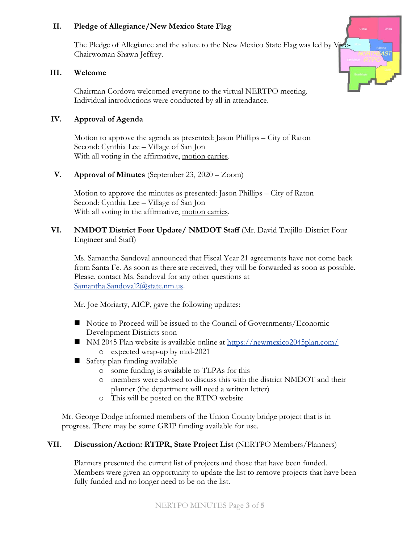# **II. Pledge of Allegiance/New Mexico State Flag**

The Pledge of Allegiance and the salute to the New Mexico State Flag was led by Vice-Chairwoman Shawn Jeffrey.

### **III. Welcome**

Chairman Cordova welcomed everyone to the virtual NERTPO meeting. Individual introductions were conducted by all in attendance.

# **IV. Approval of Agenda**

Motion to approve the agenda as presented: Jason Phillips – City of Raton Second: Cynthia Lee – Village of San Jon With all voting in the affirmative, motion carries.

### **V. Approval of Minutes** (September 23, 2020 – Zoom)

Motion to approve the minutes as presented: Jason Phillips – City of Raton Second: Cynthia Lee – Village of San Jon With all voting in the affirmative, motion carries.

# **VI. NMDOT District Four Update/ NMDOT Staff** (Mr. David Trujillo-District Four Engineer and Staff)

Ms. Samantha Sandoval announced that Fiscal Year 21 agreements have not come back from Santa Fe. As soon as there are received, they will be forwarded as soon as possible. Please, contact Ms. Sandoval for any other questions at [Samantha.Sandoval2@state.nm.us.](mailto:Samantha.Sandoval2@state.nm.us)

Mr. Joe Moriarty, AICP, gave the following updates:

- Notice to Proceed will be issued to the Council of Governments/Economic Development Districts soon
- NM 2045 Plan website is available online at <https://newmexico2045plan.com/> o expected wrap-up by mid-2021
- Safety plan funding available
	- o some funding is available to TLPAs for this
	- o members were advised to discuss this with the district NMDOT and their planner (the department will need a written letter)
	- o This will be posted on the RTPO website

Mr. George Dodge informed members of the Union County bridge project that is in progress. There may be some GRIP funding available for use.

### **VII. Discussion/Action: RTIPR, State Project List** (NERTPO Members/Planners)

Planners presented the current list of projects and those that have been funded. Members were given an opportunity to update the list to remove projects that have been fully funded and no longer need to be on the list.

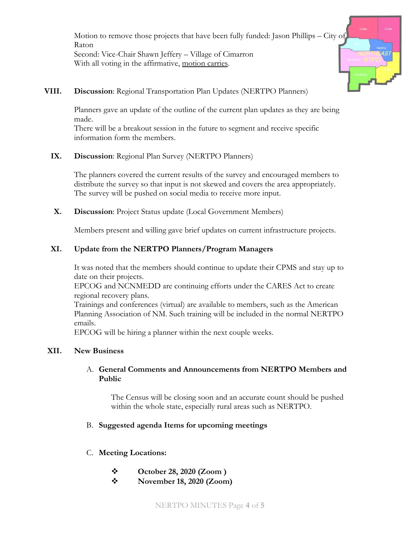Motion to remove those projects that have been fully funded: Jason Phillips – City of Raton Second: Vice-Chair Shawn Jeffery – Village of Cimarron With all voting in the affirmative, motion carries.



# **VIII. Discussion**: Regional Transportation Plan Updates (NERTPO Planners)

Planners gave an update of the outline of the current plan updates as they are being made.

There will be a breakout session in the future to segment and receive specific information form the members.

# **IX. Discussion**: Regional Plan Survey (NERTPO Planners)

The planners covered the current results of the survey and encouraged members to distribute the survey so that input is not skewed and covers the area appropriately. The survey will be pushed on social media to receive more input.

**X. Discussion**: Project Status update (Local Government Members)

Members present and willing gave brief updates on current infrastructure projects.

# **XI. Update from the NERTPO Planners/Program Managers**

It was noted that the members should continue to update their CPMS and stay up to date on their projects.

EPCOG and NCNMEDD are continuing efforts under the CARES Act to create regional recovery plans.

Trainings and conferences (virtual) are available to members, such as the American Planning Association of NM. Such training will be included in the normal NERTPO emails.

EPCOG will be hiring a planner within the next couple weeks.

# **XII. New Business**

### A. **General Comments and Announcements from NERTPO Members and Public**

The Census will be closing soon and an accurate count should be pushed within the whole state, especially rural areas such as NERTPO.

# B. **Suggested agenda Items for upcoming meetings**

- C. **Meeting Locations:**
	- ❖ **October 28, 2020 (Zoom )**
	- ❖ **November 18, 2020 (Zoom)**